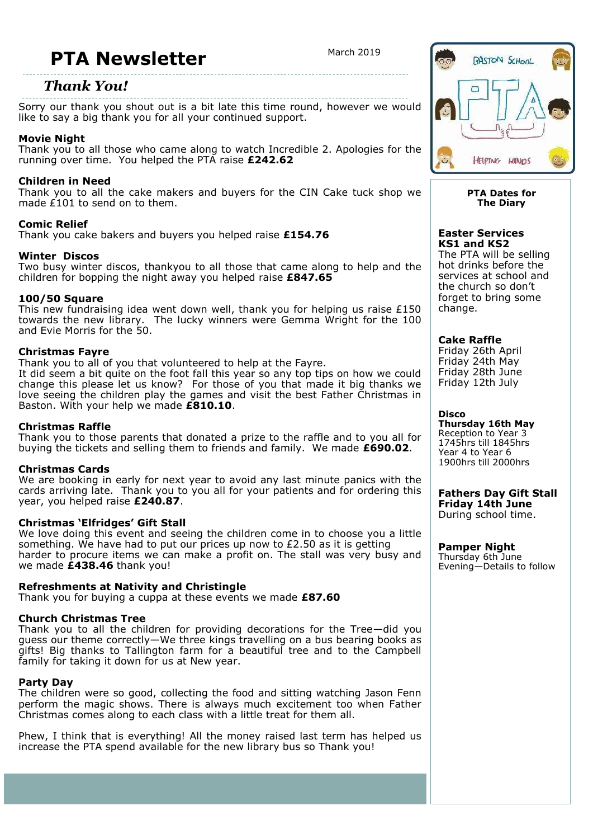# **PTA Newsletter** March 2019

## *Thank You!*

Sorry our thank you shout out is a bit late this time round, however we would like to say a big thank you for all your continued support.

### **Movie Night**

Thank you to all those who came along to watch Incredible 2. Apologies for the running over time. You helped the PTA raise **£242.62**

#### **Children in Need**

Thank you to all the cake makers and buyers for the CIN Cake tuck shop we made  $E(101)$  to send on to them.

#### **Comic Relief**

Thank you cake bakers and buyers you helped raise **£154.76**

#### **Winter Discos**

Two busy winter discos, thankyou to all those that came along to help and the children for bopping the night away you helped raise **£847.65**

#### **100/50 Square**

This new fundraising idea went down well, thank you for helping us raise  $£150$ towards the new library. The lucky winners were Gemma Wright for the 100 and Evie Morris for the 50.

#### **Christmas Fayre**

Thank you to all of you that volunteered to help at the Fayre. It did seem a bit quite on the foot fall this year so any top tips on how we could change this please let us know? For those of you that made it big thanks we love seeing the children play the games and visit the best Father Christmas in Baston. With your help we made **£810.10**.

#### **Christmas Raffle**

Thank you to those parents that donated a prize to the raffle and to you all for buying the tickets and selling them to friends and family. We made **£690.02**.

#### **Christmas Cards**

We are booking in early for next year to avoid any last minute panics with the cards arriving late. Thank you to you all for your patients and for ordering this year, you helped raise **£240.87**.

#### **Christmas 'Elfridges' Gift Stall**

We love doing this event and seeing the children come in to choose you a little something. We have had to put our prices up now to  $E2.50$  as it is getting harder to procure items we can make a profit on. The stall was very busy and we made **£438.46** thank you!

#### **Refreshments at Nativity and Christingle**

Thank you for buying a cuppa at these events we made **£87.60**

#### **Church Christmas Tree**

Thank you to all the children for providing decorations for the Tree—did you guess our theme correctly—We three kings travelling on a bus bearing books as gifts! Big thanks to Tallington farm for a beautiful tree and to the Campbell family for taking it down for us at New year.

#### **Party Day**

The children were so good, collecting the food and sitting watching Jason Fenn perform the magic shows. There is always much excitement too when Father Christmas comes along to each class with a little treat for them all.

Phew, I think that is everything! All the money raised last term has helped us increase the PTA spend available for the new library bus so Thank you!



#### **PTA Dates for The Diary**

#### **Easter Services KS1 and KS2**

The PTA will be selling hot drinks before the services at school and the church so don't forget to bring some change.

**Cake Raffle** Friday 26th April Friday 24th May

Friday 28th June Friday 12th July

#### **Disco**

**Thursday 16th May**  Reception to Year 3 1745hrs till 1845hrs Year 4 to Year 6 1900hrs till 2000hrs

**Fathers Day Gift Stall Friday 14th June** During school time.

**Pamper Night** Thursday 6th June Evening—Details to follow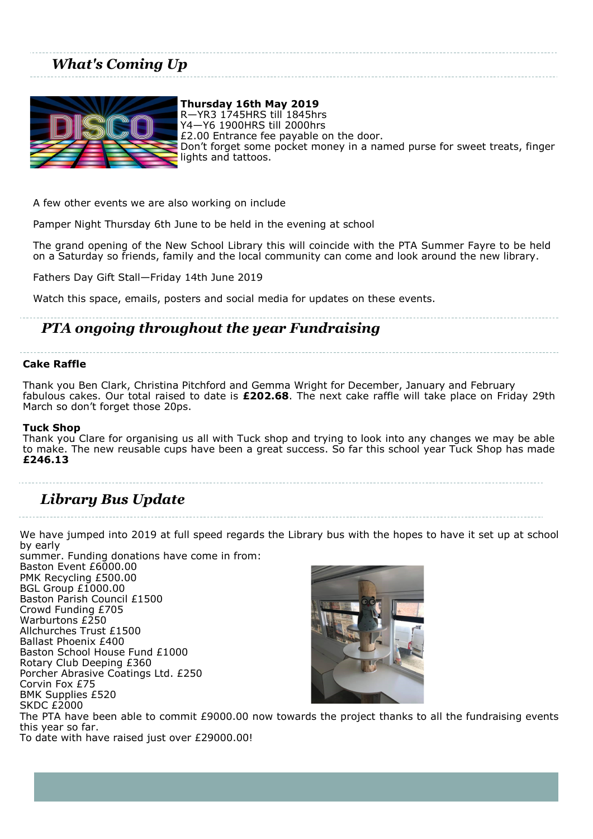# *What's Coming Up*



**Thursday 16th May 2019** R—YR3 1745HRS till 1845hrs Y4—Y6 1900HRS till 2000hrs £2.00 Entrance fee payable on the door. Don't forget some pocket money in a named purse for sweet treats, finger lights and tattoos.

A few other events we are also working on include

Pamper Night Thursday 6th June to be held in the evening at school

The grand opening of the New School Library this will coincide with the PTA Summer Fayre to be held on a Saturday so friends, family and the local community can come and look around the new library.

Fathers Day Gift Stall—Friday 14th June 2019

Watch this space, emails, posters and social media for updates on these events.

# *PTA ongoing throughout the year Fundraising*

#### **Cake Raffle**

Thank you Ben Clark, Christina Pitchford and Gemma Wright for December, January and February fabulous cakes. Our total raised to date is **£202.68**. The next cake raffle will take place on Friday 29th March so don't forget those 20ps.

#### **Tuck Shop**

Thank you Clare for organising us all with Tuck shop and trying to look into any changes we may be able to make. The new reusable cups have been a great success. So far this school year Tuck Shop has made **£246.13**

# *Library Bus Update*

We have jumped into 2019 at full speed regards the Library bus with the hopes to have it set up at school by early

summer. Funding donations have come in from: Baston Event £6000.00 PMK Recycling £500.00 BGL Group £1000.00 Baston Parish Council £1500 Crowd Funding £705 Warburtons £250 Allchurches Trust £1500 Ballast Phoenix £400 Baston School House Fund £1000 Rotary Club Deeping £360 Porcher Abrasive Coatings Ltd. £250 Corvin Fox £75 BMK Supplies £520 SKDC £2000



The PTA have been able to commit £9000.00 now towards the project thanks to all the fundraising events this year so far.

To date with have raised just over £29000.00!